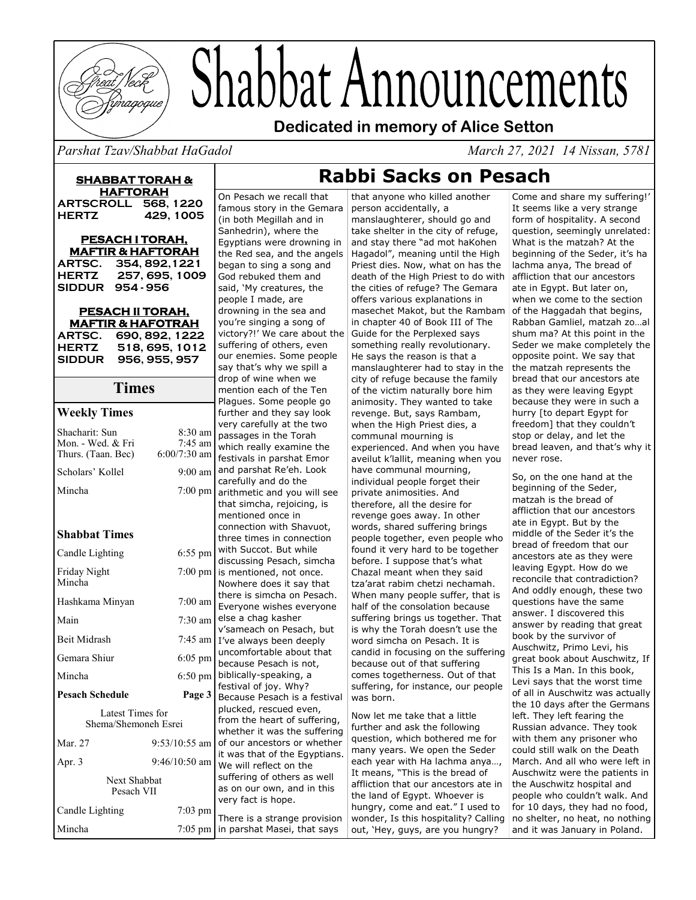

# Shabbat Announcements

### **Dedicated in memory of Alice Setton**

*Parshat Tzav/Shabbat HaGadol March 27, 2021 14 Nissan, 5781*

### **SHABBAT TORAH & HAFTORAH ARTSCROLL 568, 1220 HERTZ 429, 1005**

**PESACH I TORAH, MAFTIR & HAFTORAH ARTSC. 354, 892,1221 HERTZ 257, 695, 1009 SIDDUR 954 - 956**

#### **PESACH II TORAH, MAFTIR & HAFOTRAH**

**ARTSC. 690, 892, 1222 HERTZ 518, 695, 1012 SIDDUR 956, 955, 957**

### **Times**

### **Weekly Times**

| Shacharit: Sun<br>Mon. - Wed. & Fri<br>Thurs. (Taan. Bec) | 8:30 am<br>$7:45$ am<br>$6:00/7:30$ am |
|-----------------------------------------------------------|----------------------------------------|
| Scholars' Kollel                                          | $9:00$ am                              |
| Mincha                                                    | 7:00 pm                                |
|                                                           |                                        |
| <b>Shabbat Times</b>                                      |                                        |
| Candle Lighting                                           | $6:55$ pm                              |
| Friday Night<br>Mincha                                    | 7:00 pm                                |
| Hashkama Minyan                                           | $7:00$ am                              |
| Main                                                      | $7:30$ am                              |
| <b>Beit Midrash</b>                                       | $7:45$ am                              |
| Gemara Shiur                                              | 6:05 pm                                |
| Mincha                                                    | $6:50 \text{ pm}$                      |
| <b>Pesach Schedule</b>                                    | Page 3                                 |
| Latest Times for<br>Shema/Shemoneh Esrei                  |                                        |
| Mar. 27                                                   | $9:53/10:55$ am                        |
| Apr. 3                                                    | 9:46/10:50 am                          |
| Next Shabbat<br>Pesach VII                                |                                        |
| Candle Lighting                                           | 7:03 pm                                |
| $\mathbf{r}$ and $\mathbf{r}$                             | $\sim$ $\sim$                          |

#### On Pesach we recall that famous story in the Gemara (in both Megillah and in Sanhedrin), where the Egyptians were drowning in the Red sea, and the angels began to sing a song and God rebuked them and said, 'My creatures, the people I made, are drowning in the sea and you're singing a song of victory?!' We care about the suffering of others, even our enemies. Some people say that's why we spill a drop of wine when we mention each of the Ten Plagues. Some people go further and they say look very carefully at the two passages in the Torah which really examine the festivals in parshat Emor and parshat Re'eh. Look carefully and do the arithmetic and you will see that simcha, rejoicing, is mentioned once in connection with Shavuot, three times in connection with Succot. But while discussing Pesach, simcha is mentioned, not once. Nowhere does it say that there is simcha on Pesach. Everyone wishes everyone else a chag kasher v'sameach on Pesach, but I've always been deeply uncomfortable about that because Pesach is not, biblically-speaking, a festival of joy. Why? Because Pesach is a festival plucked, rescued even, from the heart of suffering, whether it was the suffering of our ancestors or whether it was that of the Egyptians. We will reflect on the suffering of others as well as on our own, and in this very fact is hope.

There is a strange provision in parshat Masei, that says Mincha 7:05 pm

### **Rabbi Sacks on Pesach**

that anyone who killed another person accidentally, a manslaughterer, should go and take shelter in the city of refuge, and stay there "ad mot haKohen Hagadol", meaning until the High Priest dies. Now, what on has the death of the High Priest to do with the cities of refuge? The Gemara offers various explanations in masechet Makot, but the Rambam in chapter 40 of Book III of The Guide for the Perplexed says something really revolutionary. He says the reason is that a manslaughterer had to stay in the city of refuge because the family of the victim naturally bore him animosity. They wanted to take revenge. But, says Rambam, when the High Priest dies, a communal mourning is experienced. And when you have aveilut k'lallit, meaning when you have communal mourning, individual people forget their private animosities. And therefore, all the desire for revenge goes away. In other words, shared suffering brings people together, even people who found it very hard to be together before. I suppose that's what Chazal meant when they said tza'arat rabim chetzi nechamah. When many people suffer, that is half of the consolation because suffering brings us together. That is why the Torah doesn't use the word simcha on Pesach. It is candid in focusing on the suffering because out of that suffering comes togetherness. Out of that suffering, for instance, our people was born. Now let me take that a little

further and ask the following question, which bothered me for many years. We open the Seder each year with Ha lachma anya…, It means, "This is the bread of affliction that our ancestors ate in the land of Egypt. Whoever is hungry, come and eat." I used to wonder, Is this hospitality? Calling out, 'Hey, guys, are you hungry?

Come and share my suffering!' It seems like a very strange form of hospitality. A second question, seemingly unrelated: What is the matzah? At the beginning of the Seder, it's ha lachma anya, The bread of affliction that our ancestors ate in Egypt. But later on, when we come to the section of the Haggadah that begins, Rabban Gamliel, matzah zo…al shum ma? At this point in the Seder we make completely the opposite point. We say that the matzah represents the bread that our ancestors ate as they were leaving Egypt because they were in such a hurry [to depart Egypt for freedom] that they couldn't stop or delay, and let the bread leaven, and that's why it never rose.

So, on the one hand at the beginning of the Seder, matzah is the bread of affliction that our ancestors ate in Egypt. But by the middle of the Seder it's the bread of freedom that our ancestors ate as they were leaving Egypt. How do we reconcile that contradiction? And oddly enough, these two questions have the same answer. I discovered this answer by reading that great book by the survivor of Auschwitz, Primo Levi, his great book about Auschwitz, If This Is a Man. In this book, Levi says that the worst time of all in Auschwitz was actually the 10 days after the Germans left. They left fearing the Russian advance. They took with them any prisoner who could still walk on the Death March. And all who were left in Auschwitz were the patients in the Auschwitz hospital and people who couldn't walk. And for 10 days, they had no food, no shelter, no heat, no nothing and it was January in Poland.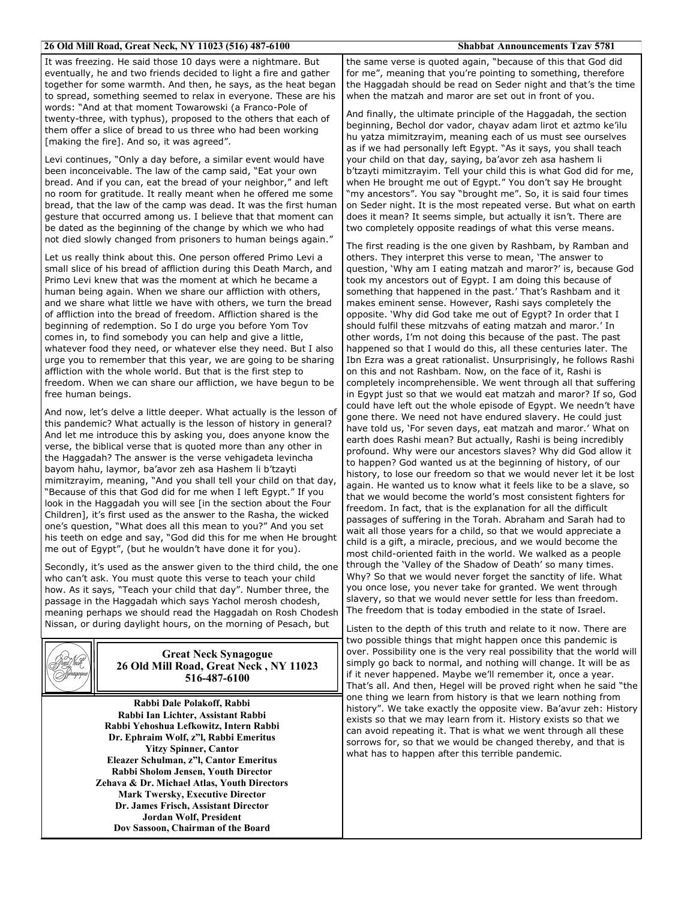#### **26 Old Mill Road, Great Neck, NY 11023 (516) 487-6100 Shabbat Announcements Tzav 5781**

It was freezing. He said those 10 days were a nightmare. But eventually, he and two friends decided to light a fire and gather together for some warmth. And then, he says, as the heat began to spread, something seemed to relax in everyone. These are his words: "And at that moment Towarowski (a Franco-Pole of twenty-three, with typhus), proposed to the others that each of them offer a slice of bread to us three who had been working [making the fire]. And so, it was agreed".

Levi continues, "Only a day before, a similar event would have been inconceivable. The law of the camp said, "Eat your own bread. And if you can, eat the bread of your neighbor," and left no room for gratitude. It really meant when he offered me some bread, that the law of the camp was dead. It was the first human gesture that occurred among us. I believe that that moment can be dated as the beginning of the change by which we who had not died slowly changed from prisoners to human beings again."

Let us really think about this. One person offered Primo Levi a small slice of his bread of affliction during this Death March, and Primo Levi knew that was the moment at which he became a human being again. When we share our affliction with others, and we share what little we have with others, we turn the bread of affliction into the bread of freedom. Affliction shared is the beginning of redemption. So I do urge you before Yom Tov comes in, to find somebody you can help and give a little, whatever food they need, or whatever else they need. But I also urge you to remember that this year, we are going to be sharing affliction with the whole world. But that is the first step to freedom. When we can share our affliction, we have begun to be free human beings.

And now, let's delve a little deeper. What actually is the lesson of this pandemic? What actually is the lesson of history in general? And let me introduce this by asking you, does anyone know the verse, the biblical verse that is quoted more than any other in the Haggadah? The answer is the verse vehigadeta levincha bayom hahu, laymor, ba'avor zeh asa Hashem li b'tzayti mimitzrayim, meaning, "And you shall tell your child on that day, "Because of this that God did for me when I left Egypt." If you look in the Haggadah you will see [in the section about the Four Children], it's first used as the answer to the Rasha, the wicked one's question, "What does all this mean to you?" And you set his teeth on edge and say, "God did this for me when He brought me out of Egypt", (but he wouldn't have done it for you).

Secondly, it's used as the answer given to the third child, the one who can't ask. You must quote this verse to teach your child how. As it says, "Teach your child that day". Number three, the passage in the Haggadah which says Yachol merosh chodesh, meaning perhaps we should read the Haggadah on Rosh Chodesh Nissan, or during daylight hours, on the morning of Pesach, but



**Great Neck Synagogue 26 Old Mill Road, Great Neck , NY 11023 516-487-6100**

**Rabbi Dale Polakoff, Rabbi Rabbi Ian Lichter, Assistant Rabbi Rabbi Yehoshua Lefkowitz, Intern Rabbi Dr. Ephraim Wolf, z"l, Rabbi Emeritus Yitzy Spinner, Cantor Eleazer Schulman, z"l, Cantor Emeritus Rabbi Sholom Jensen, Youth Director Zehava & Dr. Michael Atlas, Youth Directors Mark Twersky, Executive Director Dr. James Frisch, Assistant Director Jordan Wolf, President Dov Sassoon, Chairman of the Board**

the same verse is quoted again, "because of this that God did for me", meaning that you're pointing to something, therefore the Haggadah should be read on Seder night and that's the time when the matzah and maror are set out in front of you.

And finally, the ultimate principle of the Haggadah, the section beginning, Bechol dor vador, chayav adam lirot et aztmo ke'ilu hu yatza mimitzrayim, meaning each of us must see ourselves as if we had personally left Egypt. "As it says, you shall teach your child on that day, saying, ba'avor zeh asa hashem li b'tzayti mimitzrayim. Tell your child this is what God did for me, when He brought me out of Egypt." You don't say He brought "my ancestors". You say "brought me". So, it is said four times on Seder night. It is the most repeated verse. But what on earth does it mean? It seems simple, but actually it isn't. There are two completely opposite readings of what this verse means.

The first reading is the one given by Rashbam, by Ramban and others. They interpret this verse to mean, 'The answer to question, 'Why am I eating matzah and maror?' is, because God took my ancestors out of Egypt. I am doing this because of something that happened in the past.' That's Rashbam and it makes eminent sense. However, Rashi says completely the opposite. 'Why did God take me out of Egypt? In order that I should fulfil these mitzvahs of eating matzah and maror.' In other words, I'm not doing this because of the past. The past happened so that I would do this, all these centuries later. The Ibn Ezra was a great rationalist. Unsurprisingly, he follows Rashi on this and not Rashbam. Now, on the face of it, Rashi is completely incomprehensible. We went through all that suffering in Egypt just so that we would eat matzah and maror? If so, God could have left out the whole episode of Egypt. We needn't have gone there. We need not have endured slavery. He could just have told us, 'For seven days, eat matzah and maror.' What on earth does Rashi mean? But actually, Rashi is being incredibly profound. Why were our ancestors slaves? Why did God allow it to happen? God wanted us at the beginning of history, of our history, to lose our freedom so that we would never let it be lost again. He wanted us to know what it feels like to be a slave, so that we would become the world's most consistent fighters for freedom. In fact, that is the explanation for all the difficult passages of suffering in the Torah. Abraham and Sarah had to wait all those years for a child, so that we would appreciate a child is a gift, a miracle, precious, and we would become the most child-oriented faith in the world. We walked as a people through the 'Valley of the Shadow of Death' so many times. Why? So that we would never forget the sanctity of life. What you once lose, you never take for granted. We went through slavery, so that we would never settle for less than freedom. The freedom that is today embodied in the state of Israel.

Listen to the depth of this truth and relate to it now. There are two possible things that might happen once this pandemic is over. Possibility one is the very real possibility that the world will simply go back to normal, and nothing will change. It will be as if it never happened. Maybe we'll remember it, once a year. That's all. And then, Hegel will be proved right when he said "the one thing we learn from history is that we learn nothing from history". We take exactly the opposite view. Ba'avur zeh: History exists so that we may learn from it. History exists so that we can avoid repeating it. That is what we went through all these sorrows for, so that we would be changed thereby, and that is what has to happen after this terrible pandemic.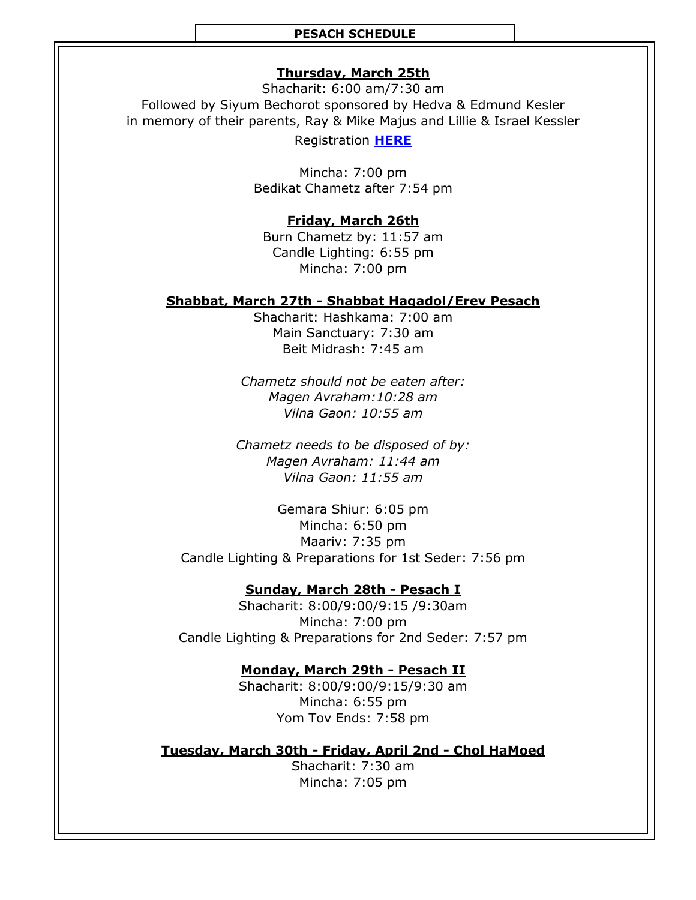### **PESACH SCHEDULE**

### **Thursday, March 25th**

Shacharit: 6:00 am/7:30 am Followed by Siyum Bechorot sponsored by Hedva & Edmund Kesler in memory of their parents, Ray & Mike Majus and Lillie & Israel Kessler

Registration **[HERE](https://www.signupgenius.com/go/9040a44a5ab2aa2fa7-shacharit)**

Mincha: 7:00 pm Bedikat Chametz after 7:54 pm

### **Friday, March 26th**

Burn Chametz by: 11:57 am Candle Lighting: 6:55 pm Mincha: 7:00 pm

### **Shabbat, March 27th - Shabbat Hagadol/Erev Pesach**

Shacharit: Hashkama: 7:00 am Main Sanctuary: 7:30 am Beit Midrash: 7:45 am

*Chametz should not be eaten after: Magen Avraham:10:28 am Vilna Gaon: 10:55 am*

*Chametz needs to be disposed of by: Magen Avraham: 11:44 am Vilna Gaon: 11:55 am*

Gemara Shiur: 6:05 pm Mincha: 6:50 pm Maariv: 7:35 pm Candle Lighting & Preparations for 1st Seder: 7:56 pm

### **Sunday, March 28th - Pesach I**

Shacharit: 8:00/9:00/9:15 /9:30am Mincha: 7:00 pm Candle Lighting & Preparations for 2nd Seder: 7:57 pm

### **Monday, March 29th - Pesach II**

Shacharit: 8:00/9:00/9:15/9:30 am Mincha: 6:55 pm Yom Tov Ends: 7:58 pm

### **Tuesday, March 30th - Friday, April 2nd - Chol HaMoed**

Shacharit: 7:30 am Mincha: 7:05 pm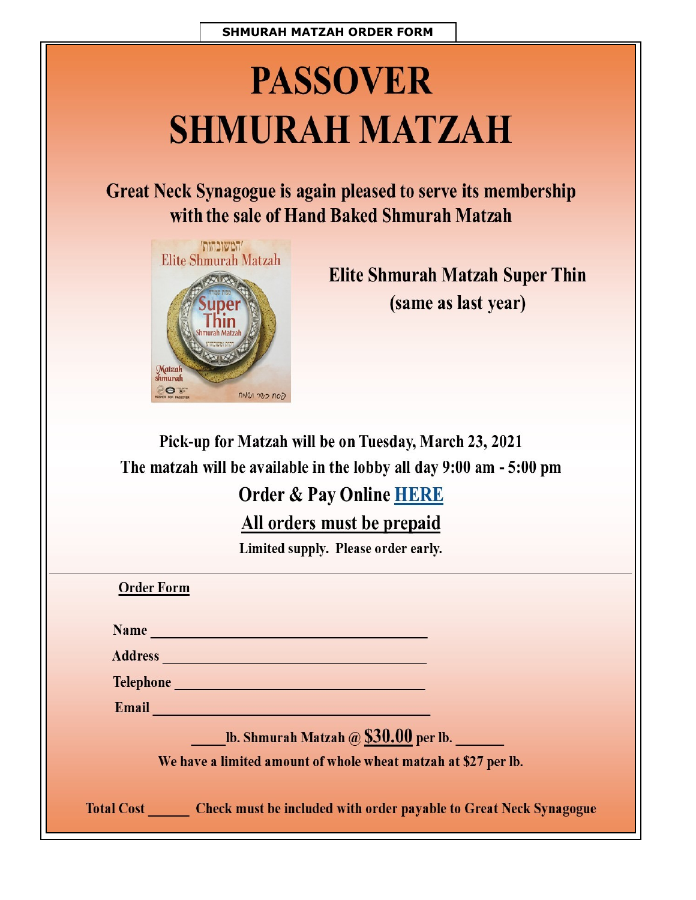**SHMURAH MATZAH ORDER FORM** 

# **PASSOVER SHMURAH MATZAH**

Great Neck Synagogue is again pleased to serve its membership with the sale of Hand Baked Shmurah Matzah



**Elite Shmurah Matzah Super Thin** (same as last year)

Pick-up for Matzah will be on Tuesday, March 23, 2021 The matzah will be available in the lobby all day 9:00 am - 5:00 pm

**Order & Pay Online HERE** 

All orders must be prepaid

Limited supply. Please order early.

| <b>Order Form</b>                                                                                                                                                                                                                    |  |
|--------------------------------------------------------------------------------------------------------------------------------------------------------------------------------------------------------------------------------------|--|
| Name and the contract of the contract of the contract of the contract of the contract of the contract of the contract of the contract of the contract of the contract of the contract of the contract of the contract of the c       |  |
| Address and the contract of the contract of the contract of the contract of the contract of the contract of the                                                                                                                      |  |
| Telephone <b>Andrew Property and Property America</b>                                                                                                                                                                                |  |
| Email <b>Executive Contract Contract Contract Contract Contract Contract Contract Contract Contract Contract Contract Contract Contract Contract Contract Contract Contract Contract Contract Contract Contract Contract Contrac</b> |  |
| lb. Shmurah Matzah @ $$30.00$ per lb.                                                                                                                                                                                                |  |
| We have a limited amount of whole wheat matzah at \$27 per lb.                                                                                                                                                                       |  |
| Total Cost Check must be included with order payable to Great Neck Synagogue                                                                                                                                                         |  |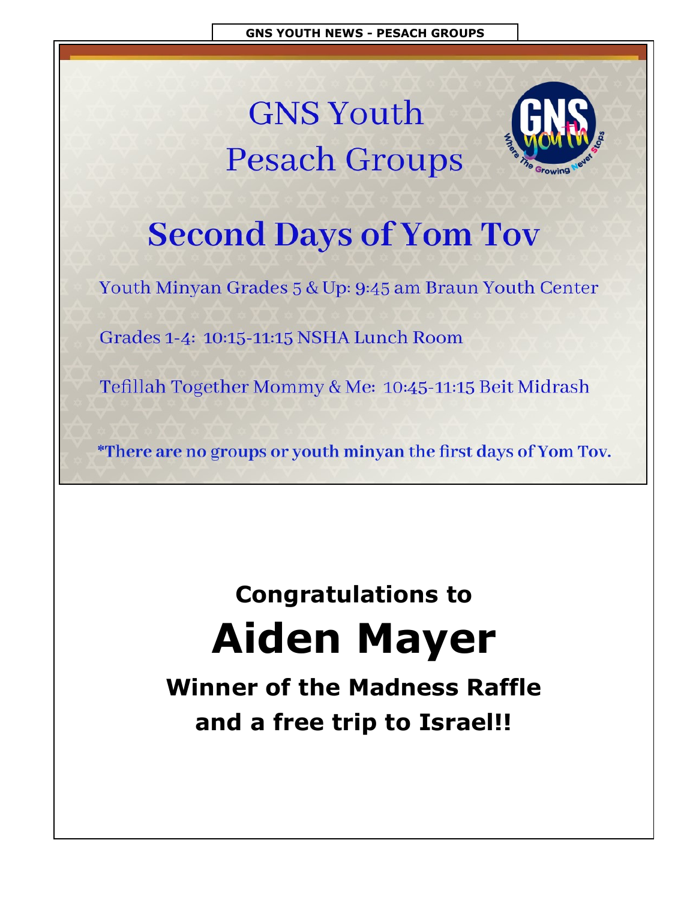### **GNS Youth Pesach Groups**



### **Second Days of Yom Tov**

Youth Minyan Grades 5 & Up: 9:45 am Braun Youth Center

Grades 1-4: 10:15-11:15 NSHA Lunch Room

Tefillah Together Mommy & Me: 10:45-11:15 Beit Midrash

\*There are no groups or youth minyan the first days of Yom Tov.

## **Congratulations to Aiden Mayer**

**Winner of the Madness Raffle and a free trip to Israel!!**